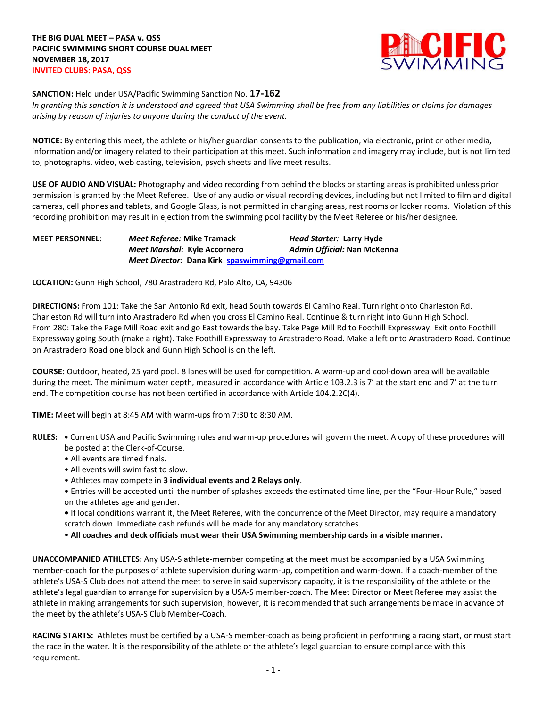

**SANCTION:** Held under USA/Pacific Swimming Sanction No. **17-162**

*In granting this sanction it is understood and agreed that USA Swimming shall be free from any liabilities or claims for damages arising by reason of injuries to anyone during the conduct of the event.*

**NOTICE:** By entering this meet, the athlete or his/her guardian consents to the publication, via electronic, print or other media, information and/or imagery related to their participation at this meet. Such information and imagery may include, but is not limited to, photographs, video, web casting, television, psych sheets and live meet results.

**USE OF AUDIO AND VISUAL:** Photography and video recording from behind the blocks or starting areas is prohibited unless prior permission is granted by the Meet Referee. Use of any audio or visual recording devices, including but not limited to film and digital cameras, cell phones and tablets, and Google Glass, is not permitted in changing areas, rest rooms or locker rooms. Violation of this recording prohibition may result in ejection from the swimming pool facility by the Meet Referee or his/her designee.

**MEET PERSONNEL:** *Meet Referee:* **Mike Tramack** *Head Starter:* **Larry Hyde** *Meet Marshal:* **Kyle Accornero** *Admin Official:* **Nan McKenna** *Meet Director:* **Dana Kirk [spaswimming@gmail.com](mailto:spaswimming@gmail.com)**

**LOCATION:** Gunn High School, 780 Arastradero Rd, Palo Alto, CA, 94306

**DIRECTIONS:** From 101: Take the San Antonio Rd exit, head South towards El Camino Real. Turn right onto Charleston Rd. Charleston Rd will turn into Arastradero Rd when you cross El Camino Real. Continue & turn right into Gunn High School. From 280: Take the Page Mill Road exit and go East towards the bay. Take Page Mill Rd to Foothill Expressway. Exit onto Foothill Expressway going South (make a right). Take Foothill Expressway to Arastradero Road. Make a left onto Arastradero Road. Continue on Arastradero Road one block and Gunn High School is on the left.

**COURSE:** Outdoor, heated, 25 yard pool. 8 lanes will be used for competition. A warm-up and cool-down area will be available during the meet. The minimum water depth, measured in accordance with Article 103.2.3 is 7' at the start end and 7' at the turn end. The competition course has not been certified in accordance with Article 104.2.2C(4).

**TIME:** Meet will begin at 8:45 AM with warm-ups from 7:30 to 8:30 AM.

- **RULES: •** Current USA and Pacific Swimming rules and warm-up procedures will govern the meet. A copy of these procedures will be posted at the Clerk-of-Course.
	- All events are timed finals.
	- All events will swim fast to slow.
	- Athletes may compete in **3 individual events and 2 Relays only**.
	- Entries will be accepted until the number of splashes exceeds the estimated time line, per the "Four-Hour Rule," based on the athletes age and gender.
	- If local conditions warrant it, the Meet Referee, with the concurrence of the Meet Director, may require a mandatory scratch down. Immediate cash refunds will be made for any mandatory scratches.
	- **All coaches and deck officials must wear their USA Swimming membership cards in a visible manner.**

**UNACCOMPANIED ATHLETES:** Any USA-S athlete-member competing at the meet must be accompanied by a USA Swimming member-coach for the purposes of athlete supervision during warm-up, competition and warm-down. If a coach-member of the athlete's USA-S Club does not attend the meet to serve in said supervisory capacity, it is the responsibility of the athlete or the athlete's legal guardian to arrange for supervision by a USA-S member-coach. The Meet Director or Meet Referee may assist the athlete in making arrangements for such supervision; however, it is recommended that such arrangements be made in advance of the meet by the athlete's USA-S Club Member-Coach.

**RACING STARTS:** Athletes must be certified by a USA-S member-coach as being proficient in performing a racing start, or must start the race in the water. It is the responsibility of the athlete or the athlete's legal guardian to ensure compliance with this requirement.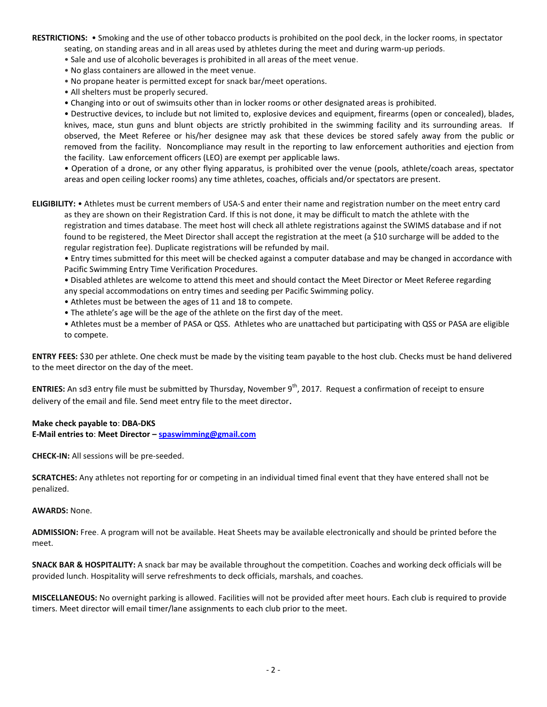**RESTRICTIONS:** • Smoking and the use of other tobacco products is prohibited on the pool deck, in the locker rooms, in spectator seating, on standing areas and in all areas used by athletes during the meet and during warm-up periods.

- Sale and use of alcoholic beverages is prohibited in all areas of the meet venue.
- No glass containers are allowed in the meet venue.
- No propane heater is permitted except for snack bar/meet operations.
- All shelters must be properly secured.
- Changing into or out of swimsuits other than in locker rooms or other designated areas is prohibited.

• Destructive devices, to include but not limited to, explosive devices and equipment, firearms (open or concealed), blades, knives, mace, stun guns and blunt objects are strictly prohibited in the swimming facility and its surrounding areas. If observed, the Meet Referee or his/her designee may ask that these devices be stored safely away from the public or removed from the facility. Noncompliance may result in the reporting to law enforcement authorities and ejection from the facility. Law enforcement officers (LEO) are exempt per applicable laws.

• Operation of a drone, or any other flying apparatus, is prohibited over the venue (pools, athlete/coach areas, spectator areas and open ceiling locker rooms) any time athletes, coaches, officials and/or spectators are present.

**ELIGIBILITY:** • Athletes must be current members of USA-S and enter their name and registration number on the meet entry card as they are shown on their Registration Card. If this is not done, it may be difficult to match the athlete with the registration and times database. The meet host will check all athlete registrations against the SWIMS database and if not found to be registered, the Meet Director shall accept the registration at the meet (a \$10 surcharge will be added to the regular registration fee). Duplicate registrations will be refunded by mail.

• Entry times submitted for this meet will be checked against a computer database and may be changed in accordance with Pacific Swimming Entry Time Verification Procedures.

• Disabled athletes are welcome to attend this meet and should contact the Meet Director or Meet Referee regarding any special accommodations on entry times and seeding per Pacific Swimming policy.

- Athletes must be between the ages of 11 and 18 to compete.
- The athlete's age will be the age of the athlete on the first day of the meet.

• Athletes must be a member of PASA or QSS. Athletes who are unattached but participating with QSS or PASA are eligible to compete.

**ENTRY FEES:** \$30 per athlete. One check must be made by the visiting team payable to the host club. Checks must be hand delivered to the meet director on the day of the meet.

**ENTRIES:** An sd3 entry file must be submitted by Thursday, November 9<sup>th</sup>, 2017. Request a confirmation of receipt to ensure delivery of the email and file. Send meet entry file to the meet director.

## **Make check payable to**: **DBA-DKS**

**E-Mail entries to**: **Meet Director – [spaswimming@gmail.com](mailto:spaswimming@gmail.com)**

**CHECK-IN:** All sessions will be pre-seeded.

**SCRATCHES:** Any athletes not reporting for or competing in an individual timed final event that they have entered shall not be penalized.

## **AWARDS:** None.

**ADMISSION:** Free. A program will not be available. Heat Sheets may be available electronically and should be printed before the meet.

**SNACK BAR & HOSPITALITY:** A snack bar may be available throughout the competition. Coaches and working deck officials will be provided lunch. Hospitality will serve refreshments to deck officials, marshals, and coaches.

**MISCELLANEOUS:** No overnight parking is allowed. Facilities will not be provided after meet hours. Each club is required to provide timers. Meet director will email timer/lane assignments to each club prior to the meet.